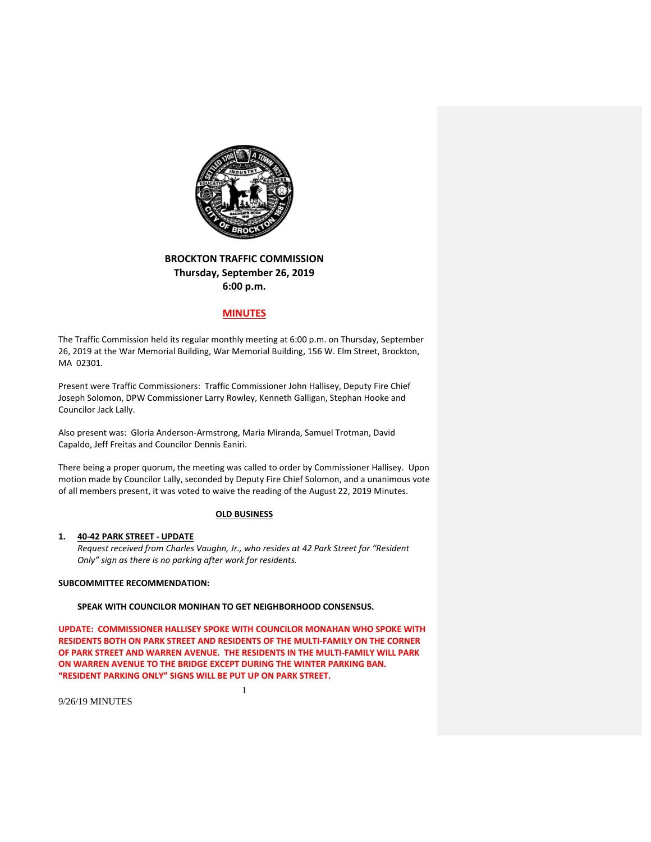

# **BROCKTON TRAFFIC COMMISSION Thursday, September 26, 2019 6:00 p.m.**

# **MINUTES**

The Traffic Commission held its regular monthly meeting at 6:00 p.m. on Thursday, September 26, 2019 at the War Memorial Building, War Memorial Building, 156 W. Elm Street, Brockton, MA 02301.

Present were Traffic Commissioners: Traffic Commissioner John Hallisey, Deputy Fire Chief Joseph Solomon, DPW Commissioner Larry Rowley, Kenneth Galligan, Stephan Hooke and Councilor Jack Lally.

Also present was: Gloria Anderson‐Armstrong, Maria Miranda, Samuel Trotman, David Capaldo, Jeff Freitas and Councilor Dennis Eaniri.

There being a proper quorum, the meeting was called to order by Commissioner Hallisey. Upon motion made by Councilor Lally, seconded by Deputy Fire Chief Solomon, and a unanimous vote of all members present, it was voted to waive the reading of the August 22, 2019 Minutes.

### **OLD BUSINESS**

## **1. 40‐42 PARK STREET ‐ UPDATE**

*Request received from Charles Vaughn, Jr., who resides at 42 Park Street for "Resident Only" sign as there is no parking after work for residents.*

## **SUBCOMMITTEE RECOMMENDATION:**

**SPEAK WITH COUNCILOR MONIHAN TO GET NEIGHBORHOOD CONSENSUS.**

**UPDATE: COMMISSIONER HALLISEY SPOKE WITH COUNCILOR MONAHAN WHO SPOKE WITH RESIDENTS BOTH ON PARK STREET AND RESIDENTS OF THE MULTI‐FAMILY ON THE CORNER OF PARK STREET AND WARREN AVENUE. THE RESIDENTS IN THE MULTI‐FAMILY WILL PARK ON WARREN AVENUE TO THE BRIDGE EXCEPT DURING THE WINTER PARKING BAN. "RESIDENT PARKING ONLY" SIGNS WILL BE PUT UP ON PARK STREET.**

1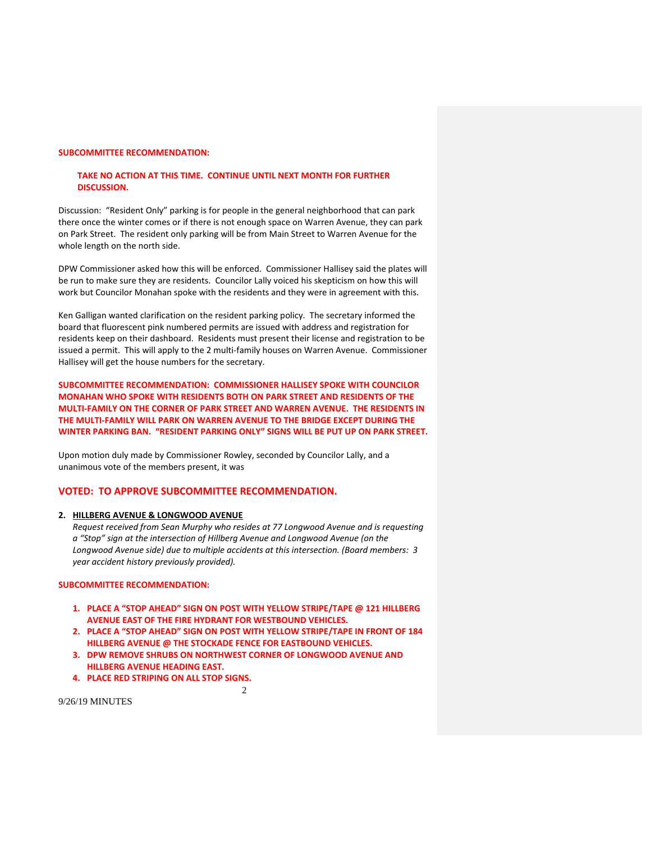## **SUBCOMMITTEE RECOMMENDATION:**

## **TAKE NO ACTION AT THIS TIME. CONTINUE UNTIL NEXT MONTH FOR FURTHER DISCUSSION.**

Discussion: "Resident Only" parking is for people in the general neighborhood that can park there once the winter comes or if there is not enough space on Warren Avenue, they can park on Park Street. The resident only parking will be from Main Street to Warren Avenue for the whole length on the north side.

DPW Commissioner asked how this will be enforced. Commissioner Hallisey said the plates will be run to make sure they are residents. Councilor Lally voiced his skepticism on how this will work but Councilor Monahan spoke with the residents and they were in agreement with this.

Ken Galligan wanted clarification on the resident parking policy. The secretary informed the board that fluorescent pink numbered permits are issued with address and registration for residents keep on their dashboard. Residents must present their license and registration to be issued a permit. This will apply to the 2 multi-family houses on Warren Avenue. Commissioner Hallisey will get the house numbers for the secretary.

**SUBCOMMITTEE RECOMMENDATION: COMMISSIONER HALLISEY SPOKE WITH COUNCILOR MONAHAN WHO SPOKE WITH RESIDENTS BOTH ON PARK STREET AND RESIDENTS OF THE MULTI‐FAMILY ON THE CORNER OF PARK STREET AND WARREN AVENUE. THE RESIDENTS IN THE MULTI‐FAMILY WILL PARK ON WARREN AVENUE TO THE BRIDGE EXCEPT DURING THE WINTER PARKING BAN. "RESIDENT PARKING ONLY" SIGNS WILL BE PUT UP ON PARK STREET.**

Upon motion duly made by Commissioner Rowley, seconded by Councilor Lally, and a unanimous vote of the members present, it was

## **VOTED: TO APPROVE SUBCOMMITTEE RECOMMENDATION.**

#### **2. HILLBERG AVENUE & LONGWOOD AVENUE**

*Request received from Sean Murphy who resides at 77 Longwood Avenue and is requesting a "Stop" sign at the intersection of Hillberg Avenue and Longwood Avenue (on the Longwood Avenue side) due to multiple accidents at this intersection. (Board members: 3 year accident history previously provided).*

## **SUBCOMMITTEE RECOMMENDATION:**

- **1. PLACE A "STOP AHEAD" SIGN ON POST WITH YELLOW STRIPE/TAPE @ 121 HILLBERG AVENUE EAST OF THE FIRE HYDRANT FOR WESTBOUND VEHICLES.**
- **2. PLACE A "STOP AHEAD" SIGN ON POST WITH YELLOW STRIPE/TAPE IN FRONT OF 184 HILLBERG AVENUE @ THE STOCKADE FENCE FOR EASTBOUND VEHICLES.**
- **3. DPW REMOVE SHRUBS ON NORTHWEST CORNER OF LONGWOOD AVENUE AND HILLBERG AVENUE HEADING EAST.**
- **4. PLACE RED STRIPING ON ALL STOP SIGNS.**

 $\mathcal{D}$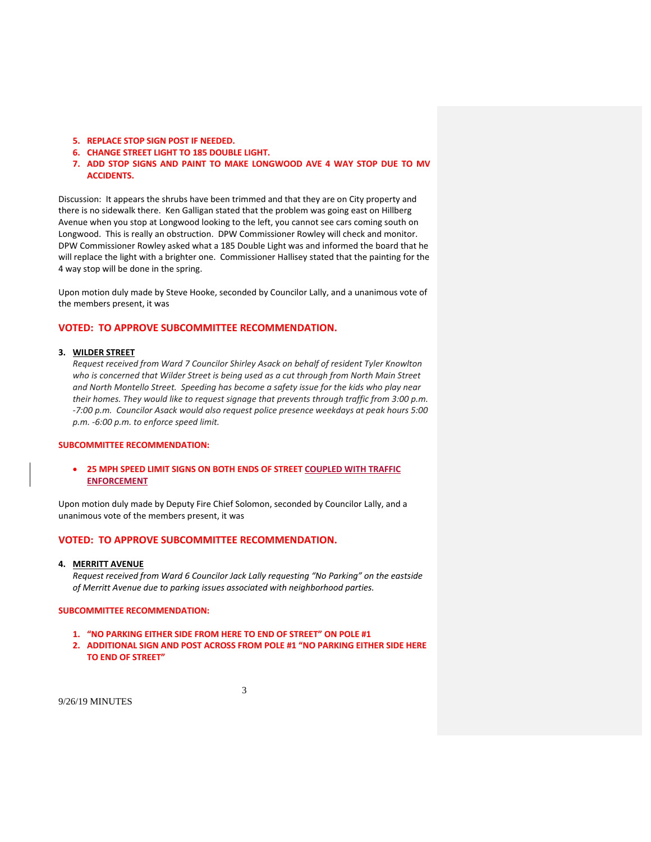- **5. REPLACE STOP SIGN POST IF NEEDED.**
- **6. CHANGE STREET LIGHT TO 185 DOUBLE LIGHT.**
- **7. ADD STOP SIGNS AND PAINT TO MAKE LONGWOOD AVE 4 WAY STOP DUE TO MV ACCIDENTS.**

Discussion: It appears the shrubs have been trimmed and that they are on City property and there is no sidewalk there. Ken Galligan stated that the problem was going east on Hillberg Avenue when you stop at Longwood looking to the left, you cannot see cars coming south on Longwood. This is really an obstruction. DPW Commissioner Rowley will check and monitor. DPW Commissioner Rowley asked what a 185 Double Light was and informed the board that he will replace the light with a brighter one. Commissioner Hallisey stated that the painting for the 4 way stop will be done in the spring.

Upon motion duly made by Steve Hooke, seconded by Councilor Lally, and a unanimous vote of the members present, it was

## **VOTED: TO APPROVE SUBCOMMITTEE RECOMMENDATION.**

#### **3. WILDER STREET**

*Request received from Ward 7 Councilor Shirley Asack on behalf of resident Tyler Knowlton who is concerned that Wilder Street is being used as a cut through from North Main Street and North Montello Street. Speeding has become a safety issue for the kids who play near their homes. They would like to request signage that prevents through traffic from 3:00 p.m. ‐7:00 p.m. Councilor Asack would also request police presence weekdays at peak hours 5:00 p.m. ‐6:00 p.m. to enforce speed limit.*

## **SUBCOMMITTEE RECOMMENDATION:**

 **25 MPH SPEED LIMIT SIGNS ON BOTH ENDS OF STREET COUPLED WITH TRAFFIC ENFORCEMENT**

Upon motion duly made by Deputy Fire Chief Solomon, seconded by Councilor Lally, and a unanimous vote of the members present, it was

## **VOTED: TO APPROVE SUBCOMMITTEE RECOMMENDATION.**

### **4. MERRITT AVENUE**

*Request received from Ward 6 Councilor Jack Lally requesting "No Parking" on the eastside of Merritt Avenue due to parking issues associated with neighborhood parties.*

### **SUBCOMMITTEE RECOMMENDATION:**

- **1. "NO PARKING EITHER SIDE FROM HERE TO END OF STREET" ON POLE #1**
- **2. ADDITIONAL SIGN AND POST ACROSS FROM POLE #1 "NO PARKING EITHER SIDE HERE TO END OF STREET"**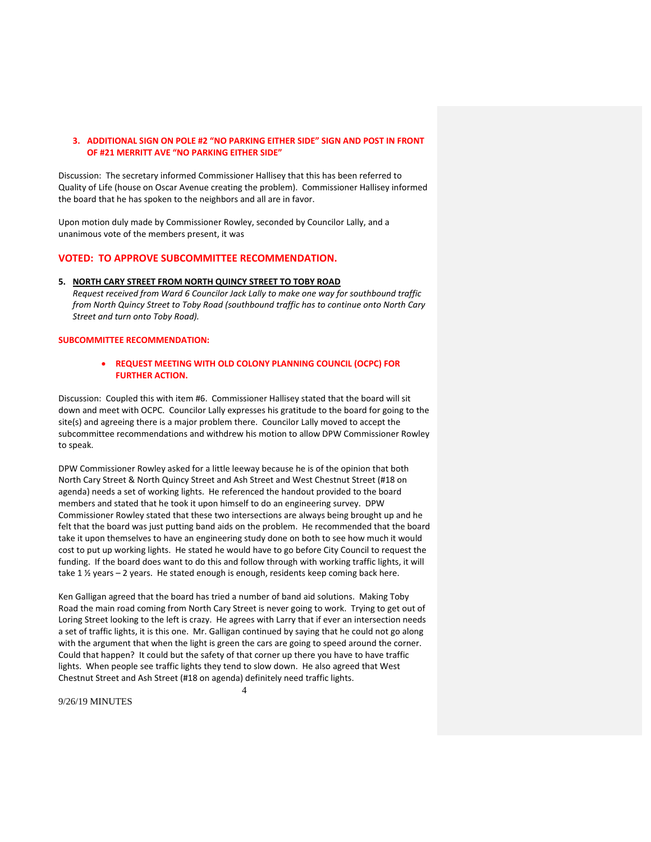## **3. ADDITIONAL SIGN ON POLE #2 "NO PARKING EITHER SIDE" SIGN AND POST IN FRONT OF #21 MERRITT AVE "NO PARKING EITHER SIDE"**

Discussion: The secretary informed Commissioner Hallisey that this has been referred to Quality of Life (house on Oscar Avenue creating the problem). Commissioner Hallisey informed the board that he has spoken to the neighbors and all are in favor.

Upon motion duly made by Commissioner Rowley, seconded by Councilor Lally, and a unanimous vote of the members present, it was

## **VOTED: TO APPROVE SUBCOMMITTEE RECOMMENDATION.**

## **5. NORTH CARY STREET FROM NORTH QUINCY STREET TO TOBY ROAD**

*Request received from Ward 6 Councilor Jack Lally to make one way for southbound traffic from North Quincy Street to Toby Road (southbound traffic has to continue onto North Cary Street and turn onto Toby Road).* 

## **SUBCOMMITTEE RECOMMENDATION:**

## **REQUEST MEETING WITH OLD COLONY PLANNING COUNCIL (OCPC) FOR FURTHER ACTION.**

Discussion: Coupled this with item #6. Commissioner Hallisey stated that the board will sit down and meet with OCPC. Councilor Lally expresses his gratitude to the board for going to the site(s) and agreeing there is a major problem there. Councilor Lally moved to accept the subcommittee recommendations and withdrew his motion to allow DPW Commissioner Rowley to speak.

DPW Commissioner Rowley asked for a little leeway because he is of the opinion that both North Cary Street & North Quincy Street and Ash Street and West Chestnut Street (#18 on agenda) needs a set of working lights. He referenced the handout provided to the board members and stated that he took it upon himself to do an engineering survey. DPW Commissioner Rowley stated that these two intersections are always being brought up and he felt that the board was just putting band aids on the problem. He recommended that the board take it upon themselves to have an engineering study done on both to see how much it would cost to put up working lights. He stated he would have to go before City Council to request the funding. If the board does want to do this and follow through with working traffic lights, it will take 1 % years - 2 years. He stated enough is enough, residents keep coming back here.

Ken Galligan agreed that the board has tried a number of band aid solutions. Making Toby Road the main road coming from North Cary Street is never going to work. Trying to get out of Loring Street looking to the left is crazy. He agrees with Larry that if ever an intersection needs a set of traffic lights, it is this one. Mr. Galligan continued by saying that he could not go along with the argument that when the light is green the cars are going to speed around the corner. Could that happen? It could but the safety of that corner up there you have to have traffic lights. When people see traffic lights they tend to slow down. He also agreed that West Chestnut Street and Ash Street (#18 on agenda) definitely need traffic lights.

4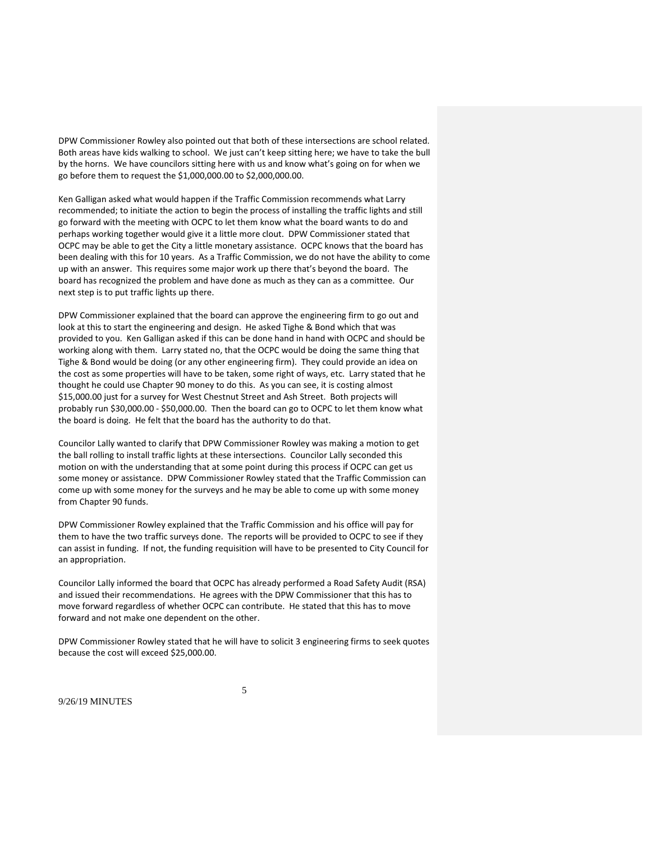DPW Commissioner Rowley also pointed out that both of these intersections are school related. Both areas have kids walking to school. We just can't keep sitting here; we have to take the bull by the horns. We have councilors sitting here with us and know what's going on for when we go before them to request the \$1,000,000.00 to \$2,000,000.00.

Ken Galligan asked what would happen if the Traffic Commission recommends what Larry recommended; to initiate the action to begin the process of installing the traffic lights and still go forward with the meeting with OCPC to let them know what the board wants to do and perhaps working together would give it a little more clout. DPW Commissioner stated that OCPC may be able to get the City a little monetary assistance. OCPC knows that the board has been dealing with this for 10 years. As a Traffic Commission, we do not have the ability to come up with an answer. This requires some major work up there that's beyond the board. The board has recognized the problem and have done as much as they can as a committee. Our next step is to put traffic lights up there.

DPW Commissioner explained that the board can approve the engineering firm to go out and look at this to start the engineering and design. He asked Tighe & Bond which that was provided to you. Ken Galligan asked if this can be done hand in hand with OCPC and should be working along with them. Larry stated no, that the OCPC would be doing the same thing that Tighe & Bond would be doing (or any other engineering firm). They could provide an idea on the cost as some properties will have to be taken, some right of ways, etc. Larry stated that he thought he could use Chapter 90 money to do this. As you can see, it is costing almost \$15,000.00 just for a survey for West Chestnut Street and Ash Street. Both projects will probably run \$30,000.00 ‐ \$50,000.00. Then the board can go to OCPC to let them know what the board is doing. He felt that the board has the authority to do that.

Councilor Lally wanted to clarify that DPW Commissioner Rowley was making a motion to get the ball rolling to install traffic lights at these intersections. Councilor Lally seconded this motion on with the understanding that at some point during this process if OCPC can get us some money or assistance. DPW Commissioner Rowley stated that the Traffic Commission can come up with some money for the surveys and he may be able to come up with some money from Chapter 90 funds.

DPW Commissioner Rowley explained that the Traffic Commission and his office will pay for them to have the two traffic surveys done. The reports will be provided to OCPC to see if they can assist in funding. If not, the funding requisition will have to be presented to City Council for an appropriation.

Councilor Lally informed the board that OCPC has already performed a Road Safety Audit (RSA) and issued their recommendations. He agrees with the DPW Commissioner that this has to move forward regardless of whether OCPC can contribute. He stated that this has to move forward and not make one dependent on the other.

DPW Commissioner Rowley stated that he will have to solicit 3 engineering firms to seek quotes because the cost will exceed \$25,000.00.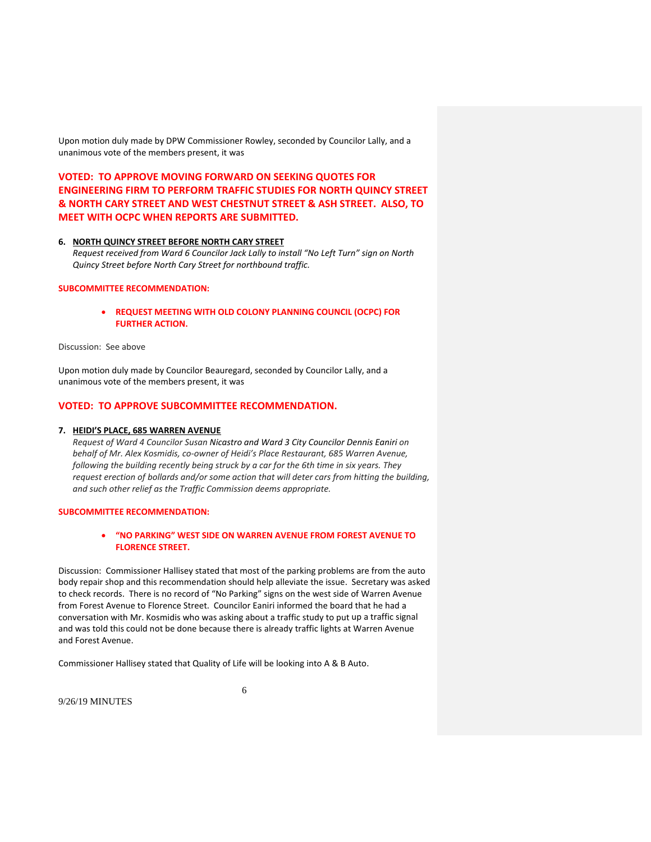Upon motion duly made by DPW Commissioner Rowley, seconded by Councilor Lally, and a unanimous vote of the members present, it was

**VOTED: TO APPROVE MOVING FORWARD ON SEEKING QUOTES FOR ENGINEERING FIRM TO PERFORM TRAFFIC STUDIES FOR NORTH QUINCY STREET & NORTH CARY STREET AND WEST CHESTNUT STREET & ASH STREET. ALSO, TO MEET WITH OCPC WHEN REPORTS ARE SUBMITTED.**

## **6. NORTH QUINCY STREET BEFORE NORTH CARY STREET**

*Request received from Ward 6 Councilor Jack Lally to install "No Left Turn" sign on North Quincy Street before North Cary Street for northbound traffic.* 

## **SUBCOMMITTEE RECOMMENDATION:**

 **REQUEST MEETING WITH OLD COLONY PLANNING COUNCIL (OCPC) FOR FURTHER ACTION.**

Discussion: See above

Upon motion duly made by Councilor Beauregard, seconded by Councilor Lally, and a unanimous vote of the members present, it was

## **VOTED: TO APPROVE SUBCOMMITTEE RECOMMENDATION.**

#### **7. HEIDI'S PLACE, 685 WARREN AVENUE**

*Request of Ward 4 Councilor Susan Nicastro and Ward 3 City Councilor Dennis Eaniri on behalf of Mr. Alex Kosmidis, co‐owner of Heidi's Place Restaurant, 685 Warren Avenue, following the building recently being struck by a car for the 6th time in six years. They request erection of bollards and/or some action that will deter cars from hitting the building, and such other relief as the Traffic Commission deems appropriate.*

### **SUBCOMMITTEE RECOMMENDATION:**

### **"NO PARKING" WEST SIDE ON WARREN AVENUE FROM FOREST AVENUE TO FLORENCE STREET.**

Discussion: Commissioner Hallisey stated that most of the parking problems are from the auto body repair shop and this recommendation should help alleviate the issue. Secretary was asked to check records. There is no record of "No Parking" signs on the west side of Warren Avenue from Forest Avenue to Florence Street. Councilor Eaniri informed the board that he had a conversation with Mr. Kosmidis who was asking about a traffic study to put up a traffic signal and was told this could not be done because there is already traffic lights at Warren Avenue and Forest Avenue.

Commissioner Hallisey stated that Quality of Life will be looking into A & B Auto.

6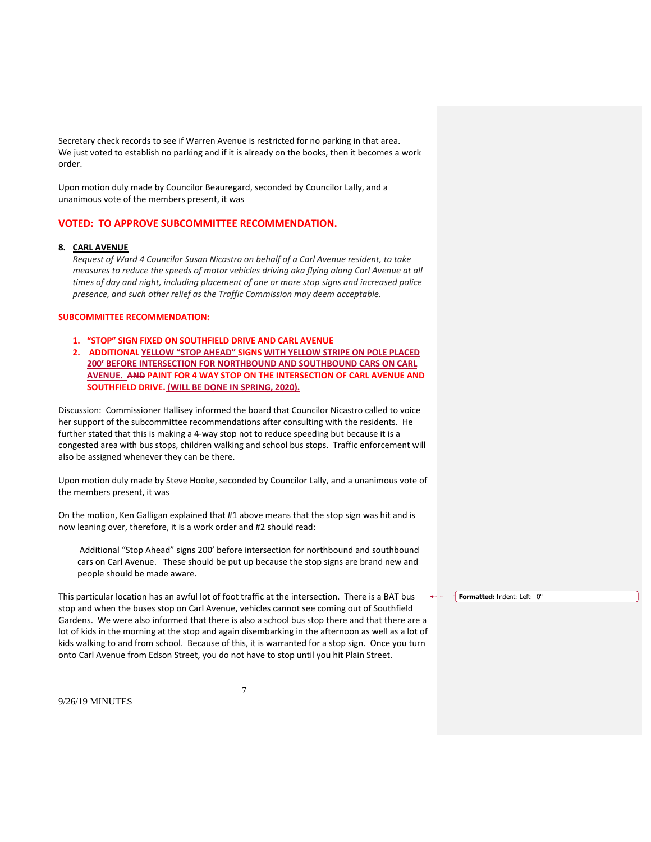Secretary check records to see if Warren Avenue is restricted for no parking in that area. We just voted to establish no parking and if it is already on the books, then it becomes a work order.

Upon motion duly made by Councilor Beauregard, seconded by Councilor Lally, and a unanimous vote of the members present, it was

## **VOTED: TO APPROVE SUBCOMMITTEE RECOMMENDATION.**

### **8. CARL AVENUE**

*Request of Ward 4 Councilor Susan Nicastro on behalf of a Carl Avenue resident, to take measures to reduce the speeds of motor vehicles driving aka flying along Carl Avenue at all times of day and night, including placement of one or more stop signs and increased police presence, and such other relief as the Traffic Commission may deem acceptable.*

### **SUBCOMMITTEE RECOMMENDATION:**

- **1. "STOP" SIGN FIXED ON SOUTHFIELD DRIVE AND CARL AVENUE**
- **2. ADDITIONAL YELLOW "STOP AHEAD" SIGNS WITH YELLOW STRIPE ON POLE PLACED 200' BEFORE INTERSECTION FOR NORTHBOUND AND SOUTHBOUND CARS ON CARL AVENUE. AND PAINT FOR 4 WAY STOP ON THE INTERSECTION OF CARL AVENUE AND SOUTHFIELD DRIVE. (WILL BE DONE IN SPRING, 2020).**

Discussion: Commissioner Hallisey informed the board that Councilor Nicastro called to voice her support of the subcommittee recommendations after consulting with the residents. He further stated that this is making a 4-way stop not to reduce speeding but because it is a congested area with bus stops, children walking and school bus stops. Traffic enforcement will also be assigned whenever they can be there.

Upon motion duly made by Steve Hooke, seconded by Councilor Lally, and a unanimous vote of the members present, it was

On the motion, Ken Galligan explained that #1 above means that the stop sign was hit and is now leaning over, therefore, it is a work order and #2 should read:

Additional "Stop Ahead" signs 200' before intersection for northbound and southbound cars on Carl Avenue. These should be put up because the stop signs are brand new and people should be made aware.

This particular location has an awful lot of foot traffic at the intersection. There is a BAT bus stop and when the buses stop on Carl Avenue, vehicles cannot see coming out of Southfield Gardens. We were also informed that there is also a school bus stop there and that there are a lot of kids in the morning at the stop and again disembarking in the afternoon as well as a lot of kids walking to and from school. Because of this, it is warranted for a stop sign. Once you turn onto Carl Avenue from Edson Street, you do not have to stop until you hit Plain Street.

7

9/26/19 MINUTES

**Formatted:** Indent: Left: 0"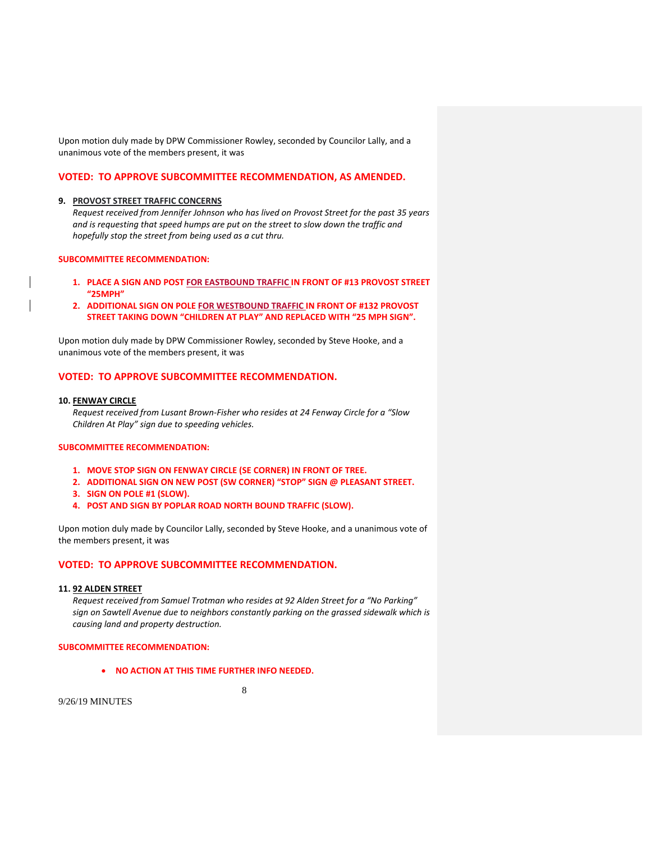Upon motion duly made by DPW Commissioner Rowley, seconded by Councilor Lally, and a unanimous vote of the members present, it was

### **VOTED: TO APPROVE SUBCOMMITTEE RECOMMENDATION, AS AMENDED.**

#### **9. PROVOST STREET TRAFFIC CONCERNS**

*Request received from Jennifer Johnson who has lived on Provost Street for the past 35 years and is requesting that speed humps are put on the street to slow down the traffic and hopefully stop the street from being used as a cut thru.* 

#### **SUBCOMMITTEE RECOMMENDATION:**

- **1. PLACE A SIGN AND POST FOR EASTBOUND TRAFFIC IN FRONT OF #13 PROVOST STREET "25MPH"**
- **2. ADDITIONAL SIGN ON POLE FOR WESTBOUND TRAFFIC IN FRONT OF #132 PROVOST STREET TAKING DOWN "CHILDREN AT PLAY" AND REPLACED WITH "25 MPH SIGN".**

Upon motion duly made by DPW Commissioner Rowley, seconded by Steve Hooke, and a unanimous vote of the members present, it was

## **VOTED: TO APPROVE SUBCOMMITTEE RECOMMENDATION.**

#### **10. FENWAY CIRCLE**

*Request received from Lusant Brown‐Fisher who resides at 24 Fenway Circle for a "Slow Children At Play" sign due to speeding vehicles.*

## **SUBCOMMITTEE RECOMMENDATION:**

- **1. MOVE STOP SIGN ON FENWAY CIRCLE (SE CORNER) IN FRONT OF TREE.**
- **2. ADDITIONAL SIGN ON NEW POST (SW CORNER) "STOP" SIGN @ PLEASANT STREET.**
- **3. SIGN ON POLE #1 (SLOW).**
- **4. POST AND SIGN BY POPLAR ROAD NORTH BOUND TRAFFIC (SLOW).**

Upon motion duly made by Councilor Lally, seconded by Steve Hooke, and a unanimous vote of the members present, it was

## **VOTED: TO APPROVE SUBCOMMITTEE RECOMMENDATION.**

### **11. 92 ALDEN STREET**

*Request received from Samuel Trotman who resides at 92 Alden Street for a "No Parking" sign on Sawtell Avenue due to neighbors constantly parking on the grassed sidewalk which is causing land and property destruction.*

#### **SUBCOMMITTEE RECOMMENDATION:**

**NO ACTION AT THIS TIME FURTHER INFO NEEDED.**

8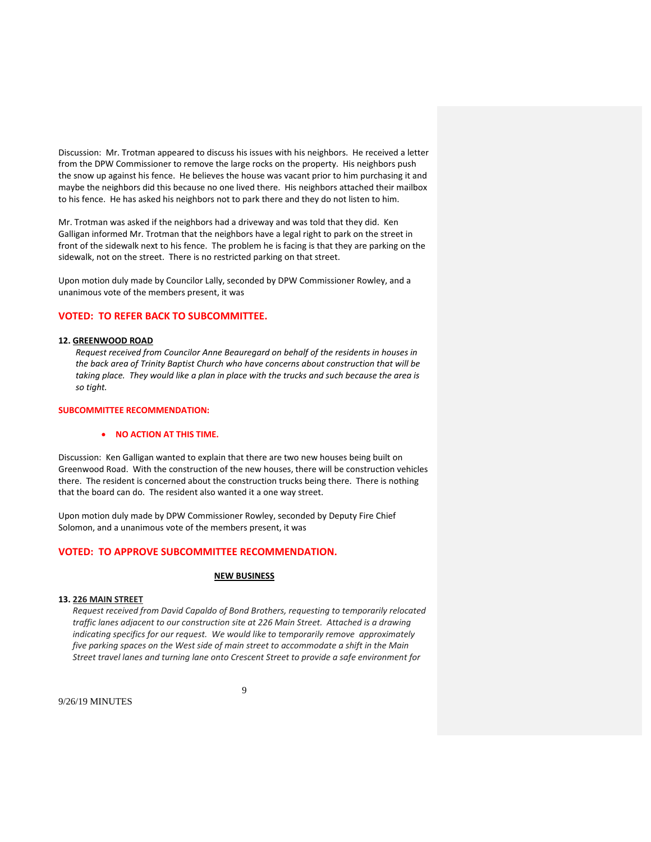Discussion: Mr. Trotman appeared to discuss his issues with his neighbors. He received a letter from the DPW Commissioner to remove the large rocks on the property. His neighbors push the snow up against his fence. He believes the house was vacant prior to him purchasing it and maybe the neighbors did this because no one lived there. His neighbors attached their mailbox to his fence. He has asked his neighbors not to park there and they do not listen to him.

Mr. Trotman was asked if the neighbors had a driveway and was told that they did. Ken Galligan informed Mr. Trotman that the neighbors have a legal right to park on the street in front of the sidewalk next to his fence. The problem he is facing is that they are parking on the sidewalk, not on the street. There is no restricted parking on that street.

Upon motion duly made by Councilor Lally, seconded by DPW Commissioner Rowley, and a unanimous vote of the members present, it was

# **VOTED: TO REFER BACK TO SUBCOMMITTEE.**

#### **12. GREENWOOD ROAD**

 *Request received from Councilor Anne Beauregard on behalf of the residents in houses in the back area of Trinity Baptist Church who have concerns about construction that will be*  taking place. They would like a plan in place with the trucks and such because the area is  *so tight.*

### **SUBCOMMITTEE RECOMMENDATION:**

### **NO ACTION AT THIS TIME.**

Discussion: Ken Galligan wanted to explain that there are two new houses being built on Greenwood Road. With the construction of the new houses, there will be construction vehicles there. The resident is concerned about the construction trucks being there. There is nothing that the board can do. The resident also wanted it a one way street.

Upon motion duly made by DPW Commissioner Rowley, seconded by Deputy Fire Chief Solomon, and a unanimous vote of the members present, it was

## **VOTED: TO APPROVE SUBCOMMITTEE RECOMMENDATION.**

#### **NEW BUSINESS**

#### **13. 226 MAIN STREET**

*Request received from David Capaldo of Bond Brothers, requesting to temporarily relocated traffic lanes adjacent to our construction site at 226 Main Street. Attached is a drawing indicating specifics for our request. We would like to temporarily remove approximately five parking spaces on the West side of main street to accommodate a shift in the Main Street travel lanes and turning lane onto Crescent Street to provide a safe environment for*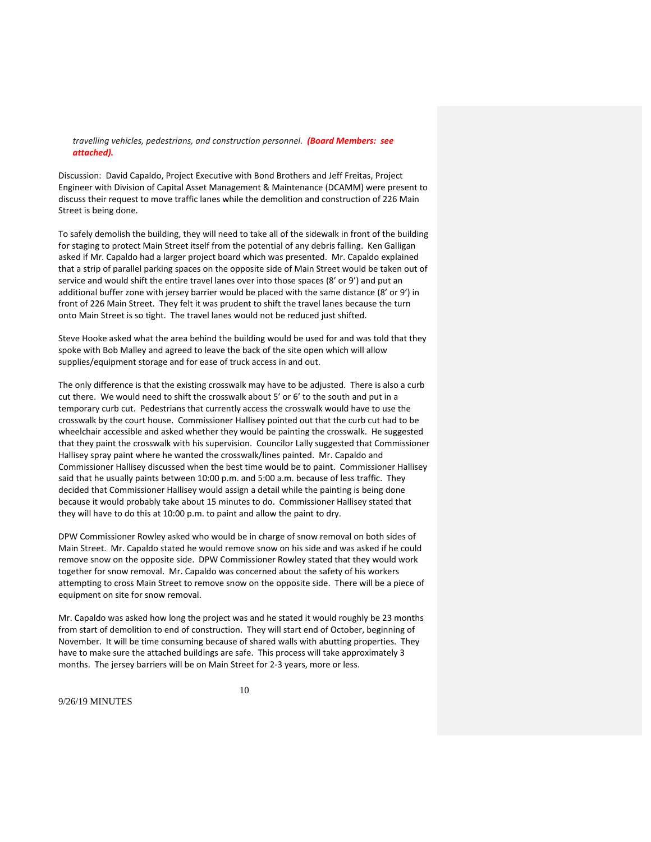### *travelling vehicles, pedestrians, and construction personnel. (Board Members: see attached).*

Discussion: David Capaldo, Project Executive with Bond Brothers and Jeff Freitas, Project Engineer with Division of Capital Asset Management & Maintenance (DCAMM) were present to discuss their request to move traffic lanes while the demolition and construction of 226 Main Street is being done.

To safely demolish the building, they will need to take all of the sidewalk in front of the building for staging to protect Main Street itself from the potential of any debris falling. Ken Galligan asked if Mr. Capaldo had a larger project board which was presented. Mr. Capaldo explained that a strip of parallel parking spaces on the opposite side of Main Street would be taken out of service and would shift the entire travel lanes over into those spaces (8' or 9') and put an additional buffer zone with jersey barrier would be placed with the same distance (8' or 9') in front of 226 Main Street. They felt it was prudent to shift the travel lanes because the turn onto Main Street is so tight. The travel lanes would not be reduced just shifted.

Steve Hooke asked what the area behind the building would be used for and was told that they spoke with Bob Malley and agreed to leave the back of the site open which will allow supplies/equipment storage and for ease of truck access in and out.

The only difference is that the existing crosswalk may have to be adjusted. There is also a curb cut there. We would need to shift the crosswalk about 5' or 6' to the south and put in a temporary curb cut. Pedestrians that currently access the crosswalk would have to use the crosswalk by the court house. Commissioner Hallisey pointed out that the curb cut had to be wheelchair accessible and asked whether they would be painting the crosswalk. He suggested that they paint the crosswalk with his supervision. Councilor Lally suggested that Commissioner Hallisey spray paint where he wanted the crosswalk/lines painted. Mr. Capaldo and Commissioner Hallisey discussed when the best time would be to paint. Commissioner Hallisey said that he usually paints between 10:00 p.m. and 5:00 a.m. because of less traffic. They decided that Commissioner Hallisey would assign a detail while the painting is being done because it would probably take about 15 minutes to do. Commissioner Hallisey stated that they will have to do this at 10:00 p.m. to paint and allow the paint to dry.

DPW Commissioner Rowley asked who would be in charge of snow removal on both sides of Main Street. Mr. Capaldo stated he would remove snow on his side and was asked if he could remove snow on the opposite side. DPW Commissioner Rowley stated that they would work together for snow removal. Mr. Capaldo was concerned about the safety of his workers attempting to cross Main Street to remove snow on the opposite side. There will be a piece of equipment on site for snow removal.

Mr. Capaldo was asked how long the project was and he stated it would roughly be 23 months from start of demolition to end of construction. They will start end of October, beginning of November. It will be time consuming because of shared walls with abutting properties. They have to make sure the attached buildings are safe. This process will take approximately 3 months. The jersey barriers will be on Main Street for 2‐3 years, more or less.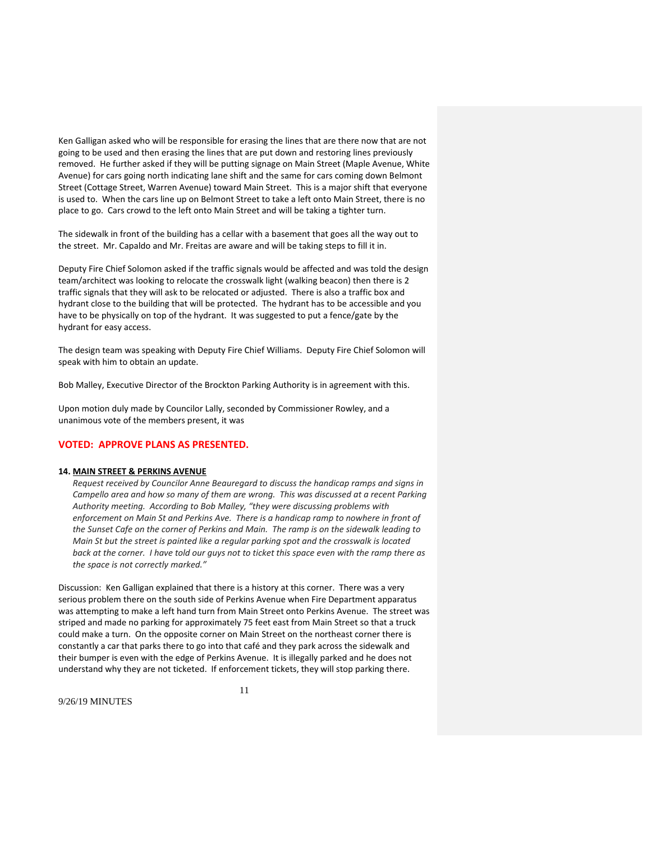Ken Galligan asked who will be responsible for erasing the lines that are there now that are not going to be used and then erasing the lines that are put down and restoring lines previously removed. He further asked if they will be putting signage on Main Street (Maple Avenue, White Avenue) for cars going north indicating lane shift and the same for cars coming down Belmont Street (Cottage Street, Warren Avenue) toward Main Street. This is a major shift that everyone is used to. When the cars line up on Belmont Street to take a left onto Main Street, there is no place to go. Cars crowd to the left onto Main Street and will be taking a tighter turn.

The sidewalk in front of the building has a cellar with a basement that goes all the way out to the street. Mr. Capaldo and Mr. Freitas are aware and will be taking steps to fill it in.

Deputy Fire Chief Solomon asked if the traffic signals would be affected and was told the design team/architect was looking to relocate the crosswalk light (walking beacon) then there is 2 traffic signals that they will ask to be relocated or adjusted. There is also a traffic box and hydrant close to the building that will be protected. The hydrant has to be accessible and you have to be physically on top of the hydrant. It was suggested to put a fence/gate by the hydrant for easy access.

The design team was speaking with Deputy Fire Chief Williams. Deputy Fire Chief Solomon will speak with him to obtain an update.

Bob Malley, Executive Director of the Brockton Parking Authority is in agreement with this.

Upon motion duly made by Councilor Lally, seconded by Commissioner Rowley, and a unanimous vote of the members present, it was

## **VOTED: APPROVE PLANS AS PRESENTED.**

#### **14. MAIN STREET & PERKINS AVENUE**

*Request received by Councilor Anne Beauregard to discuss the handicap ramps and signs in Campello area and how so many of them are wrong. This was discussed at a recent Parking Authority meeting. According to Bob Malley, "they were discussing problems with enforcement on Main St and Perkins Ave. There is a handicap ramp to nowhere in front of the Sunset Cafe on the corner of Perkins and Main. The ramp is on the sidewalk leading to Main St but the street is painted like a regular parking spot and the crosswalk is located* back at the corner. I have told our guys not to ticket this space even with the ramp there as *the space is not correctly marked."* 

Discussion: Ken Galligan explained that there is a history at this corner. There was a very serious problem there on the south side of Perkins Avenue when Fire Department apparatus was attempting to make a left hand turn from Main Street onto Perkins Avenue. The street was striped and made no parking for approximately 75 feet east from Main Street so that a truck could make a turn. On the opposite corner on Main Street on the northeast corner there is constantly a car that parks there to go into that café and they park across the sidewalk and their bumper is even with the edge of Perkins Avenue. It is illegally parked and he does not understand why they are not ticketed. If enforcement tickets, they will stop parking there.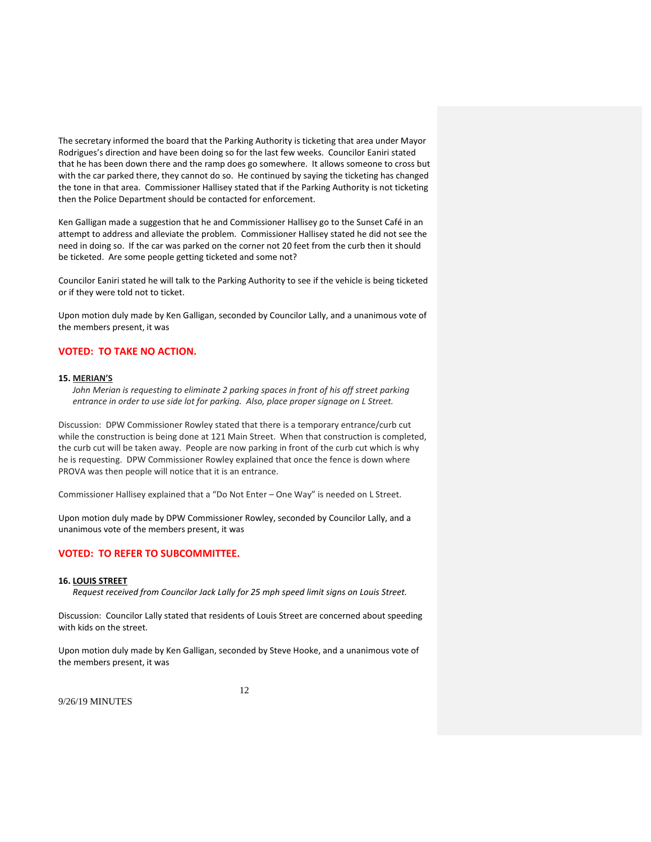The secretary informed the board that the Parking Authority is ticketing that area under Mayor Rodrigues's direction and have been doing so for the last few weeks. Councilor Eaniri stated that he has been down there and the ramp does go somewhere. It allows someone to cross but with the car parked there, they cannot do so. He continued by saying the ticketing has changed the tone in that area. Commissioner Hallisey stated that if the Parking Authority is not ticketing then the Police Department should be contacted for enforcement.

Ken Galligan made a suggestion that he and Commissioner Hallisey go to the Sunset Café in an attempt to address and alleviate the problem. Commissioner Hallisey stated he did not see the need in doing so. If the car was parked on the corner not 20 feet from the curb then it should be ticketed. Are some people getting ticketed and some not?

Councilor Eaniri stated he will talk to the Parking Authority to see if the vehicle is being ticketed or if they were told not to ticket.

Upon motion duly made by Ken Galligan, seconded by Councilor Lally, and a unanimous vote of the members present, it was

# **VOTED: TO TAKE NO ACTION.**

#### **15. MERIAN'S**

*John Merian is requesting to eliminate 2 parking spaces in front of his off street parking entrance in order to use side lot for parking. Also, place proper signage on L Street.*

Discussion: DPW Commissioner Rowley stated that there is a temporary entrance/curb cut while the construction is being done at 121 Main Street. When that construction is completed, the curb cut will be taken away. People are now parking in front of the curb cut which is why he is requesting. DPW Commissioner Rowley explained that once the fence is down where PROVA was then people will notice that it is an entrance.

Commissioner Hallisey explained that a "Do Not Enter – One Way" is needed on L Street.

Upon motion duly made by DPW Commissioner Rowley, seconded by Councilor Lally, and a unanimous vote of the members present, it was

## **VOTED: TO REFER TO SUBCOMMITTEE.**

#### **16. LOUIS STREET**

*Request received from Councilor Jack Lally for 25 mph speed limit signs on Louis Street.*

Discussion: Councilor Lally stated that residents of Louis Street are concerned about speeding with kids on the street.

Upon motion duly made by Ken Galligan, seconded by Steve Hooke, and a unanimous vote of the members present, it was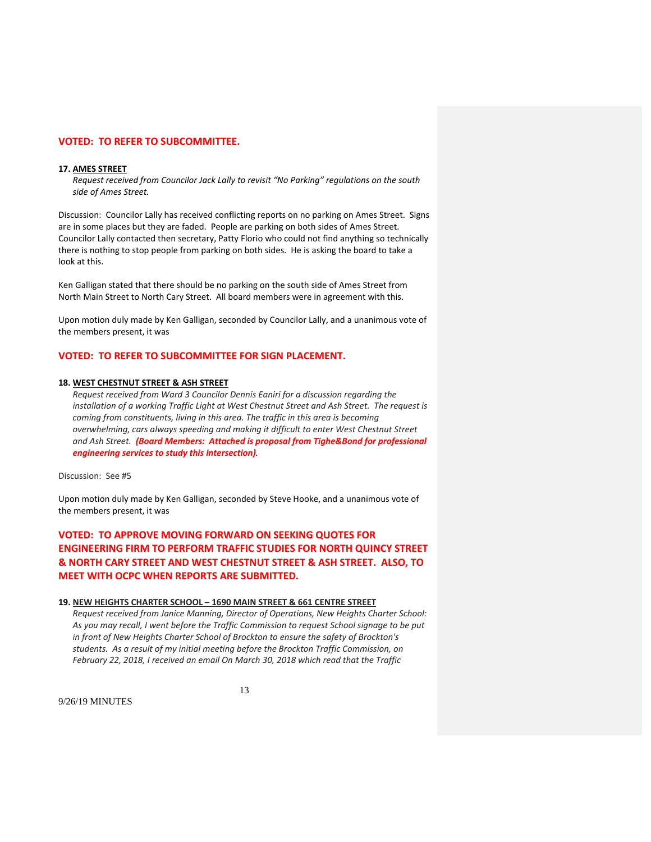## **VOTED: TO REFER TO SUBCOMMITTEE.**

### **17. AMES STREET**

*Request received from Councilor Jack Lally to revisit "No Parking" regulations on the south side of Ames Street.*

Discussion: Councilor Lally has received conflicting reports on no parking on Ames Street. Signs are in some places but they are faded. People are parking on both sides of Ames Street. Councilor Lally contacted then secretary, Patty Florio who could not find anything so technically there is nothing to stop people from parking on both sides. He is asking the board to take a look at this.

Ken Galligan stated that there should be no parking on the south side of Ames Street from North Main Street to North Cary Street. All board members were in agreement with this.

Upon motion duly made by Ken Galligan, seconded by Councilor Lally, and a unanimous vote of the members present, it was

## **VOTED: TO REFER TO SUBCOMMITTEE FOR SIGN PLACEMENT.**

#### **18. WEST CHESTNUT STREET & ASH STREET**

*Request received from Ward 3 Councilor Dennis Eaniri for a discussion regarding the installation of a working Traffic Light at West Chestnut Street and Ash Street. The request is coming from constituents, living in this area. The traffic in this area is becoming overwhelming, cars always speeding and making it difficult to enter West Chestnut Street and Ash Street. (Board Members: Attached is proposal from Tighe&Bond for professional engineering services to study this intersection).*

Discussion: See #5

Upon motion duly made by Ken Galligan, seconded by Steve Hooke, and a unanimous vote of the members present, it was

**VOTED: TO APPROVE MOVING FORWARD ON SEEKING QUOTES FOR ENGINEERING FIRM TO PERFORM TRAFFIC STUDIES FOR NORTH QUINCY STREET & NORTH CARY STREET AND WEST CHESTNUT STREET & ASH STREET. ALSO, TO MEET WITH OCPC WHEN REPORTS ARE SUBMITTED.**

### **19. NEW HEIGHTS CHARTER SCHOOL – 1690 MAIN STREET & 661 CENTRE STREET**

*Request received from Janice Manning, Director of Operations, New Heights Charter School: As you may recall, I went before the Traffic Commission to request School signage to be put in front of New Heights Charter School of Brockton to ensure the safety of Brockton's students. As a result of my initial meeting before the Brockton Traffic Commission, on February 22, 2018, I received an email On March 30, 2018 which read that the Traffic*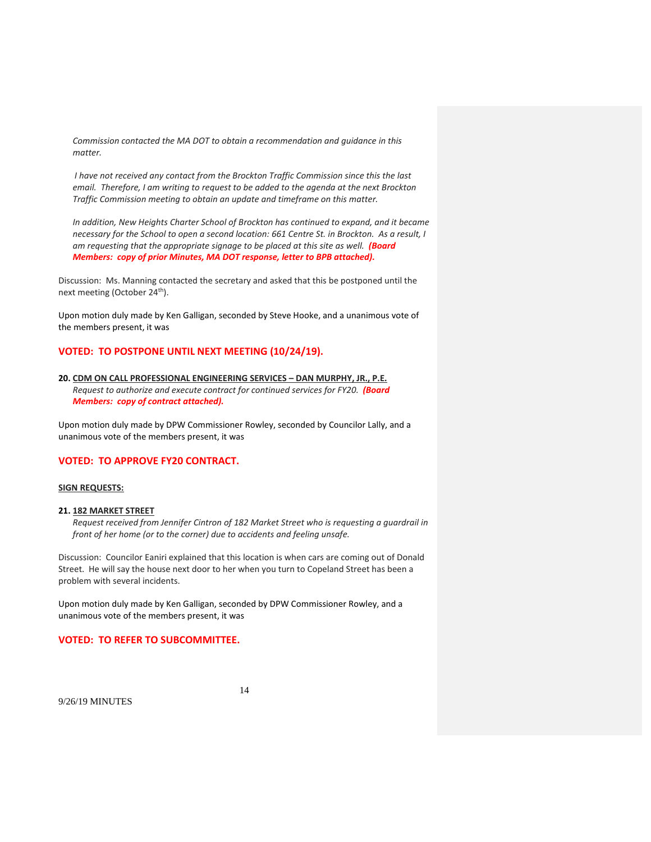*Commission contacted the MA DOT to obtain a recommendation and guidance in this matter.*

*I have not received any contact from the Brockton Traffic Commission since this the last email. Therefore, I am writing to request to be added to the agenda at the next Brockton Traffic Commission meeting to obtain an update and timeframe on this matter.*

*In addition, New Heights Charter School of Brockton has continued to expand, and it became* necessary for the School to open a second location: 661 Centre St. in Brockton. As a result, I *am requesting that the appropriate signage to be placed at this site as well. (Board Members: copy of prior Minutes, MA DOT response, letter to BPB attached).*

Discussion: Ms. Manning contacted the secretary and asked that this be postponed until the next meeting (October 24<sup>th</sup>).

Upon motion duly made by Ken Galligan, seconded by Steve Hooke, and a unanimous vote of the members present, it was

# **VOTED: TO POSTPONE UNTIL NEXT MEETING (10/24/19).**

## **20. CDM ON CALL PROFESSIONAL ENGINEERING SERVICES – DAN MURPHY, JR., P.E.** *Request to authorize and execute contract for continued services for FY20. (Board Members: copy of contract attached).*

Upon motion duly made by DPW Commissioner Rowley, seconded by Councilor Lally, and a unanimous vote of the members present, it was

## **VOTED: TO APPROVE FY20 CONTRACT.**

#### **SIGN REQUESTS:**

#### **21. 182 MARKET STREET**

*Request received from Jennifer Cintron of 182 Market Street who is requesting a guardrail in front of her home (or to the corner) due to accidents and feeling unsafe.*

Discussion: Councilor Eaniri explained that this location is when cars are coming out of Donald Street. He will say the house next door to her when you turn to Copeland Street has been a problem with several incidents.

Upon motion duly made by Ken Galligan, seconded by DPW Commissioner Rowley, and a unanimous vote of the members present, it was

### **VOTED: TO REFER TO SUBCOMMITTEE.**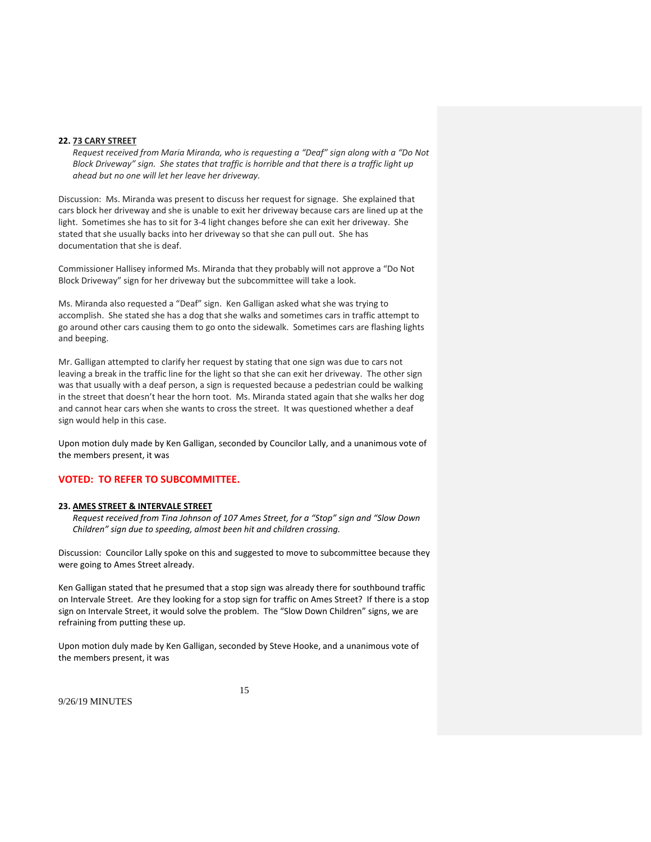### **22. 73 CARY STREET**

*Request received from Maria Miranda, who is requesting a "Deaf" sign along with a "Do Not Block Driveway" sign. She states that traffic is horrible and that there is a traffic light up ahead but no one will let her leave her driveway.*

Discussion: Ms. Miranda was present to discuss her request for signage. She explained that cars block her driveway and she is unable to exit her driveway because cars are lined up at the light. Sometimes she has to sit for 3‐4 light changes before she can exit her driveway. She stated that she usually backs into her driveway so that she can pull out. She has documentation that she is deaf.

Commissioner Hallisey informed Ms. Miranda that they probably will not approve a "Do Not Block Driveway" sign for her driveway but the subcommittee will take a look.

Ms. Miranda also requested a "Deaf" sign. Ken Galligan asked what she was trying to accomplish. She stated she has a dog that she walks and sometimes cars in traffic attempt to go around other cars causing them to go onto the sidewalk. Sometimes cars are flashing lights and beeping.

Mr. Galligan attempted to clarify her request by stating that one sign was due to cars not leaving a break in the traffic line for the light so that she can exit her driveway. The other sign was that usually with a deaf person, a sign is requested because a pedestrian could be walking in the street that doesn't hear the horn toot. Ms. Miranda stated again that she walks her dog and cannot hear cars when she wants to cross the street. It was questioned whether a deaf sign would help in this case.

Upon motion duly made by Ken Galligan, seconded by Councilor Lally, and a unanimous vote of the members present, it was

## **VOTED: TO REFER TO SUBCOMMITTEE.**

#### **23. AMES STREET & INTERVALE STREET**

*Request received from Tina Johnson of 107 Ames Street, for a "Stop" sign and "Slow Down Children" sign due to speeding, almost been hit and children crossing.*

Discussion: Councilor Lally spoke on this and suggested to move to subcommittee because they were going to Ames Street already.

Ken Galligan stated that he presumed that a stop sign was already there for southbound traffic on Intervale Street. Are they looking for a stop sign for traffic on Ames Street? If there is a stop sign on Intervale Street, it would solve the problem. The "Slow Down Children" signs, we are refraining from putting these up.

Upon motion duly made by Ken Galligan, seconded by Steve Hooke, and a unanimous vote of the members present, it was